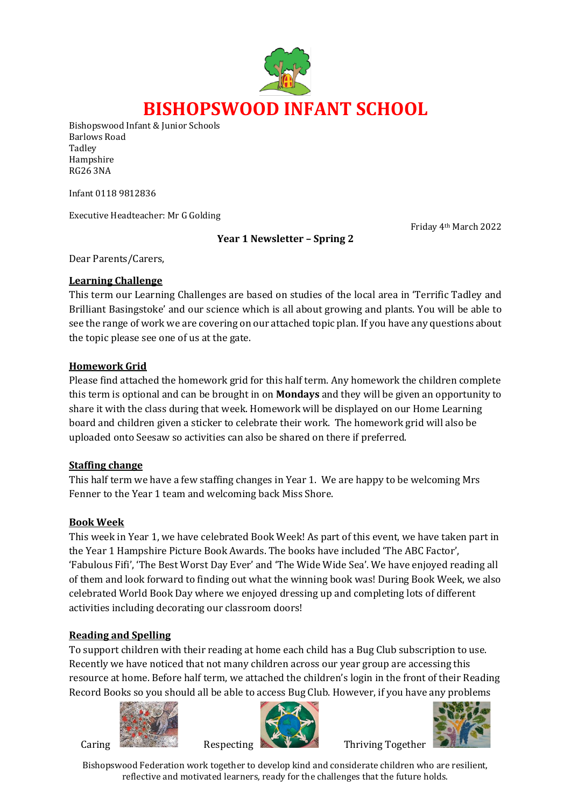

Bishopswood Infant & Junior Schools Barlows Road Tadley Hampshire RG26 3NA

Infant 0118 9812836

Executive Headteacher: Mr G Golding

Friday 4th March 2022

#### **Year 1 Newsletter – Spring 2**

Dear Parents/Carers,

#### **Learning Challenge**

This term our Learning Challenges are based on studies of the local area in 'Terrific Tadley and Brilliant Basingstoke' and our science which is all about growing and plants. You will be able to see the range of work we are covering on our attached topic plan. If you have any questions about the topic please see one of us at the gate.

#### **Homework Grid**

Please find attached the homework grid for this half term. Any homework the children complete this term is optional and can be brought in on **Mondays** and they will be given an opportunity to share it with the class during that week. Homework will be displayed on our Home Learning board and children given a sticker to celebrate their work. The homework grid will also be uploaded onto Seesaw so activities can also be shared on there if preferred.

### **Staffing change**

This half term we have a few staffing changes in Year 1. We are happy to be welcoming Mrs Fenner to the Year 1 team and welcoming back Miss Shore.

### **Book Week**

This week in Year 1, we have celebrated Book Week! As part of this event, we have taken part in the Year 1 Hampshire Picture Book Awards. The books have included 'The ABC Factor', 'Fabulous Fifi', 'The Best Worst Day Ever' and 'The Wide Wide Sea'. We have enjoyed reading all of them and look forward to finding out what the winning book was! During Book Week, we also celebrated World Book Day where we enjoyed dressing up and completing lots of different activities including decorating our classroom doors!

### **Reading and Spelling**

To support children with their reading at home each child has a Bug Club subscription to use. Recently we have noticed that not many children across our year group are accessing this resource at home. Before half term, we attached the children's login in the front of their Reading Record Books so you should all be able to access Bug Club. However, if you have any problems







Bishopswood Federation work together to develop kind and considerate children who are resilient, reflective and motivated learners, ready for the challenges that the future holds.